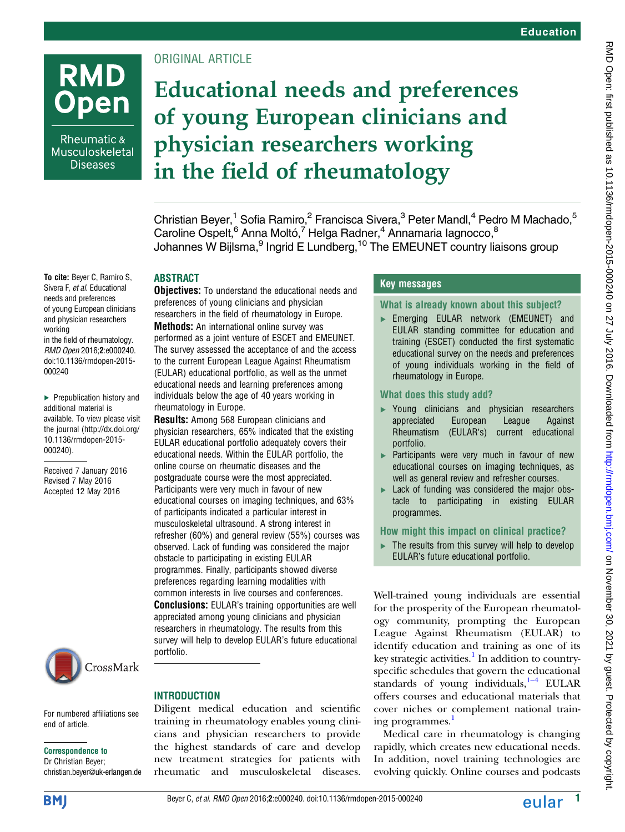## **RMD Open**

Rheumatic & Musculoskeletal **Diseases** 

To cite: Beyer C, Ramiro S, Sivera F, et al. Educational needs and preferences of young European clinicians and physician researchers

in the field of rheumatology. RMD Open 2016;2:e000240. doi:10.1136/rmdopen-2015-

▶ Prepublication history and additional material is available. To view please visit the journal [\(http://dx.doi.org/](http://dx.doi.org/10.1136/rmdopen-2015-000240) [10.1136/rmdopen-2015-](http://dx.doi.org/10.1136/rmdopen-2015-000240)

Received 7 January 2016 Revised 7 May 2016 Accepted 12 May 2016

working

000240

[000240\)](http://dx.doi.org/10.1136/rmdopen-2015-000240).

#### ORIGINAL ARTICLE

### Educational needs and preferences of young European clinicians and physician researchers working in the field of rheumatology

Christian Beyer,<sup>1</sup> Sofia Ramiro,<sup>2</sup> Francisca Sivera,<sup>3</sup> Peter Mandl,<sup>4</sup> Pedro M Machado,<sup>5</sup> Caroline Ospelt,<sup>6</sup> Anna Moltó,<sup>7</sup> Helga Radner,<sup>4</sup> Annamaria Iagnocco,<sup>8</sup> Johannes W Bijlsma,<sup>9</sup> Ingrid E Lundberg,<sup>10</sup> The EMEUNET country liaisons group

#### **ABSTRACT**

**Objectives:** To understand the educational needs and preferences of young clinicians and physician researchers in the field of rheumatology in Europe. Methods: An international online survey was performed as a joint venture of ESCET and EMEUNET. The survey assessed the acceptance of and the access to the current European League Against Rheumatism (EULAR) educational portfolio, as well as the unmet educational needs and learning preferences among individuals below the age of 40 years working in rheumatology in Europe.

Results: Among 568 European clinicians and physician researchers, 65% indicated that the existing EULAR educational portfolio adequately covers their educational needs. Within the EULAR portfolio, the online course on rheumatic diseases and the postgraduate course were the most appreciated. Participants were very much in favour of new educational courses on imaging techniques, and 63% of participants indicated a particular interest in musculoskeletal ultrasound. A strong interest in refresher (60%) and general review (55%) courses was observed. Lack of funding was considered the major obstacle to participating in existing EULAR programmes. Finally, participants showed diverse preferences regarding learning modalities with common interests in live courses and conferences. Conclusions: EULAR's training opportunities are well appreciated among young clinicians and physician researchers in rheumatology. The results from this survey will help to develop EULAR's future educational portfolio.

# CrossMark

For numbered affiliations see end of article.

#### Correspondence to

Dr Christian Beyer; christian.beyer@uk-erlangen.de

#### **INTRODUCTION**

Diligent medical education and scientific training in rheumatology enables young clinicians and physician researchers to provide the highest standards of care and develop new treatment strategies for patients with rheumatic and musculoskeletal diseases.

#### Key messages

#### What is already known about this subject?

▸ Emerging EULAR network (EMEUNET) and EULAR standing committee for education and training (ESCET) conducted the first systematic educational survey on the needs and preferences of young individuals working in the field of rheumatology in Europe.

#### What does this study add?

- ▸ Young clinicians and physician researchers appreciated European League Against Rheumatism (EULAR's) current educational portfolio.
- ▶ Participants were very much in favour of new educational courses on imaging techniques, as well as general review and refresher courses.
- ► Lack of funding was considered the major obstacle to participating in existing EULAR programmes.

#### How might this impact on clinical practice?

 $\blacktriangleright$  The results from this survey will help to develop EULAR's future educational portfolio.

Well-trained young individuals are essential for the prosperity of the European rheumatology community, prompting the European League Against Rheumatism (EULAR) to identify education and training as one of its key strategic activities. $<sup>1</sup>$  $<sup>1</sup>$  $<sup>1</sup>$  In addition to country-</sup> specific schedules that govern the educational standards of young individuals, $^{1-4}$  EULAR offers courses and educational materials that cover niches or complement national train-ing programmes.<sup>[1](#page-6-0)</sup>

Medical care in rheumatology is changing rapidly, which creates new educational needs. In addition, novel training technologies are evolving quickly. Online courses and podcasts

**BMI** 

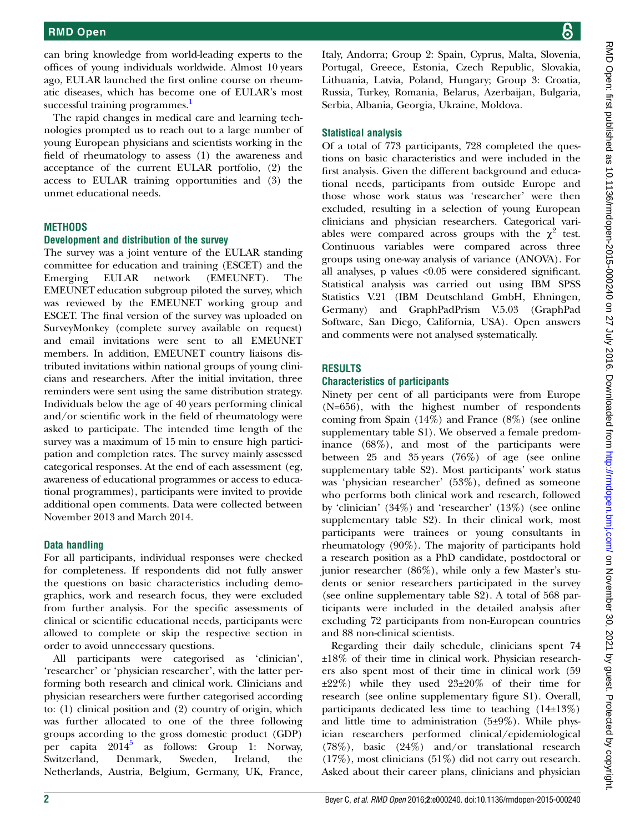can bring knowledge from world-leading experts to the offices of young individuals worldwide. Almost 10 years ago, EULAR launched the first online course on rheumatic diseases, which has become one of EULAR's most successful training programmes.<sup>[1](#page-6-0)</sup>

The rapid changes in medical care and learning technologies prompted us to reach out to a large number of young European physicians and scientists working in the field of rheumatology to assess (1) the awareness and acceptance of the current EULAR portfolio, (2) the access to EULAR training opportunities and (3) the unmet educational needs.

#### **METHODS**

#### Development and distribution of the survey

The survey was a joint venture of the EULAR standing committee for education and training (ESCET) and the<br>Emerging EULAR network (EMEUNET). The Emerging EULAR network (EMEUNET). The EMEUNET education subgroup piloted the survey, which was reviewed by the EMEUNET working group and ESCET. The final version of the survey was uploaded on SurveyMonkey (complete survey available on request) and email invitations were sent to all EMEUNET members. In addition, EMEUNET country liaisons distributed invitations within national groups of young clinicians and researchers. After the initial invitation, three reminders were sent using the same distribution strategy. Individuals below the age of 40 years performing clinical and/or scientific work in the field of rheumatology were asked to participate. The intended time length of the survey was a maximum of 15 min to ensure high participation and completion rates. The survey mainly assessed categorical responses. At the end of each assessment (eg, awareness of educational programmes or access to educational programmes), participants were invited to provide additional open comments. Data were collected between November 2013 and March 2014.

#### Data handling

For all participants, individual responses were checked for completeness. If respondents did not fully answer the questions on basic characteristics including demographics, work and research focus, they were excluded from further analysis. For the specific assessments of clinical or scientific educational needs, participants were allowed to complete or skip the respective section in order to avoid unnecessary questions.

All participants were categorised as 'clinician', 'researcher' or 'physician researcher', with the latter performing both research and clinical work. Clinicians and physician researchers were further categorised according to: (1) clinical position and (2) country of origin, which was further allocated to one of the three following groups according to the gross domestic product (GDP) per capita  $2014^5$  $2014^5$  as follows: Group 1: Norway, Switzerland, Denmark, Sweden, Ireland, the Netherlands, Austria, Belgium, Germany, UK, France,

Italy, Andorra; Group 2: Spain, Cyprus, Malta, Slovenia, Portugal, Greece, Estonia, Czech Republic, Slovakia, Lithuania, Latvia, Poland, Hungary; Group 3: Croatia, Russia, Turkey, Romania, Belarus, Azerbaijan, Bulgaria, Serbia, Albania, Georgia, Ukraine, Moldova.

#### Statistical analysis

Of a total of 773 participants, 728 completed the questions on basic characteristics and were included in the first analysis. Given the different background and educational needs, participants from outside Europe and those whose work status was 'researcher' were then excluded, resulting in a selection of young European clinicians and physician researchers. Categorical variables were compared across groups with the  $\chi^2$  test. Continuous variables were compared across three groups using one-way analysis of variance (ANOVA). For all analyses, p values <0.05 were considered significant. Statistical analysis was carried out using IBM SPSS Statistics V.21 (IBM Deutschland GmbH, Ehningen, Germany) and GraphPadPrism V.5.03 (GraphPad Software, San Diego, California, USA). Open answers and comments were not analysed systematically.

#### RESULTS

#### Characteristics of participants

Ninety per cent of all participants were from Europe (N=656), with the highest number of respondents coming from Spain (14%) and France (8%) (see online [supplementary table](http://dx.doi.org/10.1136/rmdopen-2015-000240) S1). We observed a female predominance (68%), and most of the participants were between 25 and 35 years (76%) of age (see online [supplementary table](http://dx.doi.org/10.1136/rmdopen-2015-000240) S2). Most participants' work status was 'physician researcher' (53%), defined as someone who performs both clinical work and research, followed by 'clinician' (34%) and 'researcher' (13%) (see online [supplementary table](http://dx.doi.org/10.1136/rmdopen-2015-000240) S2). In their clinical work, most participants were trainees or young consultants in rheumatology (90%). The majority of participants hold a research position as a PhD candidate, postdoctoral or junior researcher (86%), while only a few Master's students or senior researchers participated in the survey (see online [supplementary table](http://dx.doi.org/10.1136/rmdopen-2015-000240) S2). A total of 568 participants were included in the detailed analysis after excluding 72 participants from non-European countries and 88 non-clinical scientists.

Regarding their daily schedule, clinicians spent 74 ±18% of their time in clinical work. Physician researchers also spent most of their time in clinical work (59 ±22%) while they used 23±20% of their time for research (see online [supplementary](http://dx.doi.org/10.1136/rmdopen-2015-000240) figure S1). Overall, participants dedicated less time to teaching  $(14\pm13\%)$ and little time to administration  $(5±9%)$ . While physician researchers performed clinical/epidemiological (78%), basic (24%) and/or translational research (17%), most clinicians (51%) did not carry out research. Asked about their career plans, clinicians and physician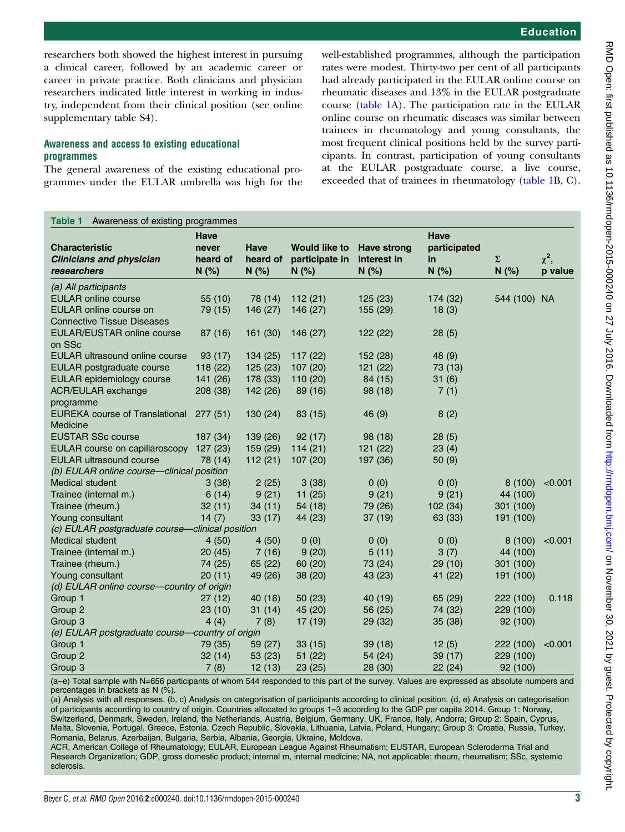<span id="page-2-0"></span>researchers both showed the highest interest in pursuing a clinical career, followed by an academic career or career in private practice. Both clinicians and physician researchers indicated little interest in working in industry, independent from their clinical position (see online [supplementary table](http://dx.doi.org/10.1136/rmdopen-2015-000240) S4).

#### Awareness and access to existing educational programmes

The general awareness of the existing educational programmes under the EULAR umbrella was high for the well-established programmes, although the participation rates were modest. Thirty-two per cent of all participants had already participated in the EULAR online course on rheumatic diseases and 13% in the EULAR postgraduate course (table 1A). The participation rate in the EULAR online course on rheumatic diseases was similar between trainees in rheumatology and young consultants, the most frequent clinical positions held by the survey participants. In contrast, participation of young consultants at the EULAR postgraduate course, a live course, exceeded that of trainees in rheumatology (table 1B, C).

| Table 1<br>Awareness of existing programmes     |             |             |                      |                    |              |              |            |  |
|-------------------------------------------------|-------------|-------------|----------------------|--------------------|--------------|--------------|------------|--|
|                                                 | <b>Have</b> |             |                      |                    | <b>Have</b>  |              |            |  |
| <b>Characteristic</b>                           | never       | <b>Have</b> | <b>Would like to</b> | <b>Have strong</b> | participated |              |            |  |
| <b>Clinicians and physician</b>                 | heard of    | heard of    | participate in       | interest in        | in           | $\Sigma$     | $\chi^2$ , |  |
| researchers                                     | N(%)        | N(%)        | N(%)                 | N(%)               | N(%)         | N(%)         | p value    |  |
| (a) All participants                            |             |             |                      |                    |              |              |            |  |
| <b>EULAR online course</b>                      | 55 (10)     | 78 (14)     | 112(21)              | 125 (23)           | 174 (32)     | 544 (100) NA |            |  |
| EULAR online course on                          | 79 (15)     | 146 (27)    | 146 (27)             | 155 (29)           | 18(3)        |              |            |  |
| <b>Connective Tissue Diseases</b>               |             |             |                      |                    |              |              |            |  |
| EULAR/EUSTAR online course<br>on SSc            | 87 (16)     | 161 (30)    | 146 (27)             | 122(22)            | 28(5)        |              |            |  |
| EULAR ultrasound online course                  | 93(17)      | 134 (25)    | 117(22)              | 152 (28)           | 48 (9)       |              |            |  |
| EULAR postgraduate course                       | 118(22)     | 125(23)     | 107 (20)             | 121 (22)           | 73 (13)      |              |            |  |
| EULAR epidemiology course                       | 141 (26)    | 178(33)     | 110 (20)             | 84 (15)            | 31(6)        |              |            |  |
| ACR/EULAR exchange                              | 208 (38)    | 142 (26)    | 89 (16)              | 98 (18)            | 7(1)         |              |            |  |
| programme                                       |             |             |                      |                    |              |              |            |  |
| EUREKA course of Translational 277 (51)         |             | 130 (24)    | 83 (15)              | 46 (9)             | 8(2)         |              |            |  |
| Medicine                                        |             |             |                      |                    |              |              |            |  |
| <b>EUSTAR SSc course</b>                        | 187 (34)    | 139 (26)    | 92(17)               | 98 (18)            | 28(5)        |              |            |  |
| EULAR course on capillaroscopy 127 (23)         |             | 159 (29)    | 114(21)              | 121(22)            | 23(4)        |              |            |  |
| <b>EULAR ultrasound course</b>                  | 78 (14)     | 112(21)     | 107(20)              | 197 (36)           | 50(9)        |              |            |  |
| (b) EULAR online course-clinical position       |             |             |                      |                    |              |              |            |  |
| Medical student                                 | 3(38)       | 2(25)       | 3(38)                | 0(0)               | 0(0)         | 8(100)       | < 0.001    |  |
| Trainee (internal m.)                           | 6(14)       | 9(21)       | 11(25)               | 9(21)              | 9(21)        | 44 (100)     |            |  |
| Trainee (rheum.)                                | 32(11)      | 34 (11)     | 54 (18)              | 79 (26)            | 102 (34)     | 301 (100)    |            |  |
| Young consultant                                | 14 $(7)$    | 33(17)      | 44 (23)              | 37(19)             | 63 (33)      | 191 (100)    |            |  |
| (c) EULAR postgraduate course-clinical position |             |             |                      |                    |              |              |            |  |
| Medical student                                 | 4(50)       | 4(50)       | 0(0)                 | 0(0)               | 0(0)         | 8(100)       | < 0.001    |  |
| Trainee (internal m.)                           | 20(45)      | 7(16)       | 9(20)                | 5(11)              | 3(7)         | 44 (100)     |            |  |
| Trainee (rheum.)                                | 74 (25)     | 65(22)      | 60(20)               | 73 (24)            | 29(10)       | 301 (100)    |            |  |
| Young consultant                                | 20(11)      | 49 (26)     | 38 (20)              | 43 (23)            | 41 (22)      | 191 (100)    |            |  |
| (d) EULAR online course-country of origin       |             |             |                      |                    |              |              |            |  |
| Group 1                                         | 27(12)      | 40(18)      | 50(23)               | 40 (19)            | 65 (29)      | 222 (100)    | 0.118      |  |
| Group 2                                         | 23(10)      | 31(14)      | 45 (20)              | 56 (25)            | 74 (32)      | 229 (100)    |            |  |
| Group 3                                         | 4(4)        | 7(8)        | 17(19)               | 29 (32)            | 35(38)       | 92 (100)     |            |  |
| (e) EULAR postgraduate course-country of origin |             |             |                      |                    |              |              |            |  |
| Group 1                                         | 79 (35)     | 59 (27)     | 33(15)               | 39(18)             | 12(5)        | 222 (100)    | < 0.001    |  |
| Group 2                                         | 32(14)      | 53 (23)     | 51(22)               | 54 (24)            | 39(17)       | 229 (100)    |            |  |
| Group 3                                         | 7(8)        | 12(13)      | 23 (25)              | 28 (30)            | 22(24)       | 92 (100)     |            |  |

(a–e) Total sample with N=656 participants of whom 544 responded to this part of the survey. Values are expressed as absolute numbers and percentages in brackets as N (%).

(a) Analysis with all responses. (b, c) Analysis on categorisation of participants according to clinical position. (d, e) Analysis on categorisation of participants according to country of origin. Countries allocated to groups 1–3 according to the GDP per capita 2014. Group 1: Norway, Switzerland, Denmark, Sweden, Ireland, the Netherlands, Austria, Belgium, Germany, UK, France, Italy, Andorra; Group 2: Spain, Cyprus, Malta, Slovenia, Portugal, Greece, Estonia, Czech Republic, Slovakia, Lithuania, Latvia, Poland, Hungary; Group 3: Croatia, Russia, Turkey, Romania, Belarus, Azerbaijan, Bulgaria, Serbia, Albania, Georgia, Ukraine, Moldova.

ACR, American College of Rheumatology; EULAR, European League Against Rheumatism; EUSTAR, European Scleroderma Trial and Research Organization; GDP, gross domestic product; internal m, internal medicine; NA, not applicable; rheum, rheumatism; SSc, systemic sclerosis.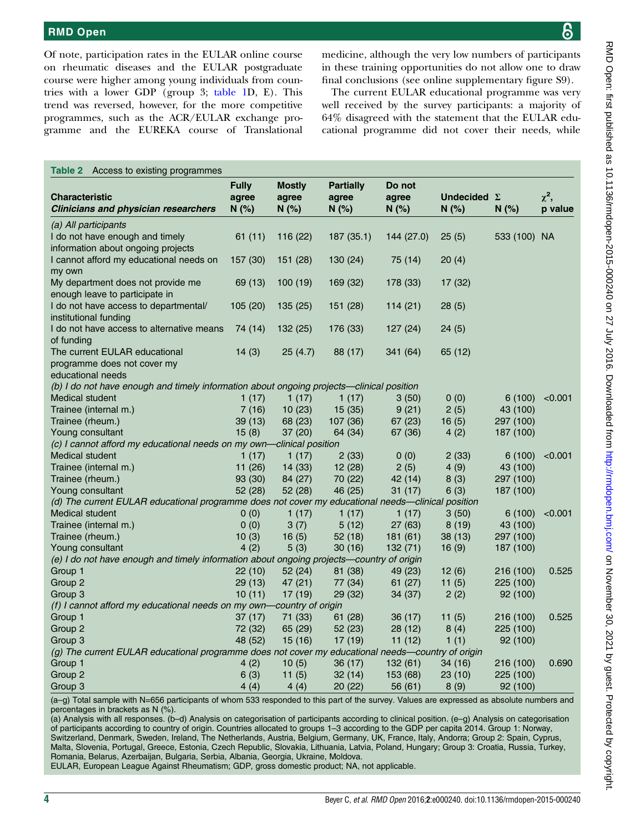<span id="page-3-0"></span>Of note, participation rates in the EULAR online course on rheumatic diseases and the EULAR postgraduate course were higher among young individuals from countries with a lower GDP (group 3; [table 1D](#page-2-0), E). This trend was reversed, however, for the more competitive programmes, such as the ACR/EULAR exchange programme and the EUREKA course of Translational

medicine, although the very low numbers of participants in these training opportunities do not allow one to draw final conclusions (see online [supplementary](http://dx.doi.org/10.1136/rmdopen-2015-000240) figure S9).

The current EULAR educational programme was very well received by the survey participants: a majority of 64% disagreed with the statement that the EULAR educational programme did not cover their needs, while

| Access to existing programmes<br>Table 2                                                          |                               |                                |                                   |                         |                            |              |                       |
|---------------------------------------------------------------------------------------------------|-------------------------------|--------------------------------|-----------------------------------|-------------------------|----------------------------|--------------|-----------------------|
| <b>Characteristic</b><br><b>Clinicians and physician researchers</b>                              | <b>Fully</b><br>agree<br>N(%) | <b>Mostly</b><br>agree<br>N(%) | <b>Partially</b><br>agree<br>N(%) | Do not<br>agree<br>N(%) | Undecided $\Sigma$<br>N(%) | N(%)         | $\chi^2$ ,<br>p value |
| (a) All participants                                                                              |                               |                                |                                   |                         |                            |              |                       |
| I do not have enough and timely                                                                   | 61(11)                        | 116 (22)                       | 187(35.1)                         | 144 (27.0)              | 25(5)                      | 533 (100) NA |                       |
| information about ongoing projects                                                                |                               |                                |                                   |                         |                            |              |                       |
| I cannot afford my educational needs on                                                           | 157 (30)                      | 151 (28)                       | 130(24)                           | 75 (14)                 | 20(4)                      |              |                       |
| my own                                                                                            |                               |                                |                                   |                         |                            |              |                       |
| My department does not provide me                                                                 | 69 (13)                       | 100(19)                        | 169 (32)                          | 178 (33)                | 17 (32)                    |              |                       |
| enough leave to participate in                                                                    |                               |                                |                                   |                         |                            |              |                       |
| I do not have access to departmental/                                                             | 105 (20)                      | 135 (25)                       | 151(28)                           | 114(21)                 | 28 (5)                     |              |                       |
| institutional funding                                                                             |                               |                                |                                   |                         |                            |              |                       |
| I do not have access to alternative means                                                         | 74 (14)                       | 132 (25)                       | 176 (33)                          | 127(24)                 | 24(5)                      |              |                       |
| of funding                                                                                        |                               |                                |                                   |                         |                            |              |                       |
| The current EULAR educational                                                                     | 14(3)                         | 25(4.7)                        | 88 (17)                           | 341 (64)                | 65 (12)                    |              |                       |
| programme does not cover my                                                                       |                               |                                |                                   |                         |                            |              |                       |
| educational needs                                                                                 |                               |                                |                                   |                         |                            |              |                       |
| (b) I do not have enough and timely information about ongoing projects—clinical position          |                               |                                |                                   |                         |                            |              |                       |
| Medical student                                                                                   | 1 (17)                        | 1(17)                          | 1(17)                             | 3(50)                   | 0(0)                       | 6(100)       | < 0.001               |
| Trainee (internal m.)                                                                             | 7 (16)                        | 10(23)                         | 15(35)                            | 9(21)                   | 2(5)                       | 43 (100)     |                       |
| Trainee (rheum.)                                                                                  | 39 (13)                       | 68 (23)                        | 107 (36)                          | 67(23)                  | 16(5)                      | 297 (100)    |                       |
| Young consultant                                                                                  | 15(8)                         | 37 (20)                        | 64 (34)                           | 67 (36)                 | 4(2)                       | 187 (100)    |                       |
| (c) I cannot afford my educational needs on my own—clinical position                              |                               |                                |                                   |                         |                            |              |                       |
| <b>Medical student</b>                                                                            | 1(17)                         | 1(17)                          | 2(33)                             | 0(0)                    | 2(33)                      | 6(100)       | < 0.001               |
| Trainee (internal m.)                                                                             | 11(26)                        | 14 (33)                        | 12(28)                            | 2(5)                    | 4(9)                       | 43 (100)     |                       |
| Trainee (rheum.)                                                                                  | 93 (30)                       | 84 (27)                        | 70 (22)                           | 42 (14)                 | 8(3)                       | 297 (100)    |                       |
| Young consultant                                                                                  | 52 (28)                       | 52 (28)                        | 46 (25)                           | 31(17)                  | 6(3)                       | 187 (100)    |                       |
| (d) The current EULAR educational programme does not cover my educational needs—clinical position |                               |                                |                                   |                         |                            |              |                       |
| <b>Medical student</b>                                                                            | 0(0)                          | 1(17)                          | 1(17)                             | 1(17)                   | 3(50)                      | 6(100)       | < 0.001               |
| Trainee (internal m.)                                                                             | 0(0)                          | 3(7)                           | 5(12)                             | 27(63)                  | 8(19)                      | 43 (100)     |                       |
| Trainee (rheum.)                                                                                  | 10(3)                         | 16(5)                          | 52(18)                            | 181(61)                 | 38 (13)                    | 297 (100)    |                       |
| Young consultant                                                                                  | 4(2)                          | 5(3)                           | 30(16)                            | 132(71)                 | 16(9)                      | 187 (100)    |                       |
| (e) I do not have enough and timely information about ongoing projects-country of origin          |                               |                                |                                   |                         |                            |              |                       |
| Group 1                                                                                           | 22 (10)                       | 52 (24)                        | 81 (38)                           | 49 (23)                 | 12(6)                      | 216 (100)    | 0.525                 |
| Group 2                                                                                           | 29(13)                        | 47 (21)                        | 77 (34)                           | 61(27)                  | 11(5)                      | 225 (100)    |                       |
| Group 3                                                                                           | 10(11)                        | 17 (19)                        | 29 (32)                           | 34 (37)                 | 2(2)                       | 92 (100)     |                       |
| (f) I cannot afford my educational needs on my own-country of origin                              |                               |                                |                                   |                         |                            |              |                       |
| Group 1                                                                                           | 37(17)                        | 71 (33)                        | 61(28)                            | 36 (17)                 | 11(5)                      | 216 (100)    | 0.525                 |
| Group 2                                                                                           | 72 (32)                       | 65 (29)                        | 52(23)                            | 28(12)                  | 8(4)                       | 225 (100)    |                       |
| Group 3                                                                                           | 48 (52)                       | 15 (16)                        | 17(19)                            | 11(12)                  | 1(1)                       | 92 (100)     |                       |
| (g) The current EULAR educational programme does not cover my educational needs-country of origin |                               |                                |                                   |                         |                            |              |                       |
| Group 1                                                                                           | 4 (2)                         | 10(5)                          | 36 (17)                           | 132(61)                 | 34 (16)                    | 216 (100)    | 0.690                 |
| Group 2                                                                                           | 6(3)                          | 11(5)                          | 32(14)                            | 153 (68)                | 23 (10)                    | 225 (100)    |                       |
| Group 3                                                                                           | 4 (4)                         | 4(4)                           | 20 (22)                           | 56 (61)                 | 8(9)                       | 92 (100)     |                       |

(a–g) Total sample with N=656 participants of whom 533 responded to this part of the survey. Values are expressed as absolute numbers and percentages in brackets as N (%).

(a) Analysis with all responses. (b–d) Analysis on categorisation of participants according to clinical position. (e–g) Analysis on categorisation of participants according to country of origin. Countries allocated to groups 1–3 according to the GDP per capita 2014. Group 1: Norway, Switzerland, Denmark, Sweden, Ireland, The Netherlands, Austria, Belgium, Germany, UK, France, Italy, Andorra; Group 2: Spain, Cyprus, Malta, Slovenia, Portugal, Greece, Estonia, Czech Republic, Slovakia, Lithuania, Latvia, Poland, Hungary; Group 3: Croatia, Russia, Turkey, Romania, Belarus, Azerbaijan, Bulgaria, Serbia, Albania, Georgia, Ukraine, Moldova.

EULAR, European League Against Rheumatism; GDP, gross domestic product; NA, not applicable.

ள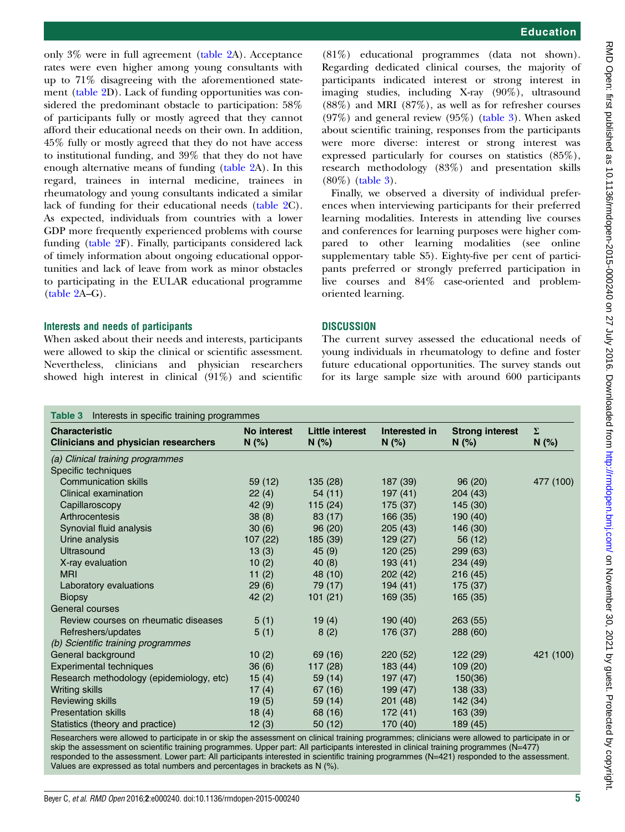(81%) educational programmes (data not shown). Regarding dedicated clinical courses, the majority of participants indicated interest or strong interest in imaging studies, including X-ray (90%), ultrasound (88%) and MRI (87%), as well as for refresher courses (97%) and general review (95%) (table 3). When asked about scientific training, responses from the participants were more diverse: interest or strong interest was expressed particularly for courses on statistics (85%), research methodology (83%) and presentation skills (80%) (table 3).

Finally, we observed a diversity of individual preferences when interviewing participants for their preferred learning modalities. Interests in attending live courses and conferences for learning purposes were higher compared to other learning modalities (see online [supplementary table](http://dx.doi.org/10.1136/rmdopen-2015-000240) S5). Eighty-five per cent of participants preferred or strongly preferred participation in live courses and 84% case-oriented and problem-

The current survey assessed the educational needs of young individuals in rheumatology to define and foster future educational opportunities. The survey stands out for its large sample size with around 600 participants

| <b>Characteristic</b>                       | No interest | <b>Little interest</b> | Interested in | <b>Strong interest</b> | $\Sigma$  |
|---------------------------------------------|-------------|------------------------|---------------|------------------------|-----------|
| <b>Clinicians and physician researchers</b> | N(%)        | N(%)                   | N(%)          | N(%)                   | N(%)      |
| (a) Clinical training programmes            |             |                        |               |                        |           |
| Specific techniques                         |             |                        |               |                        |           |
| <b>Communication skills</b>                 | 59(12)      | 135(28)                | 187 (39)      | 96(20)                 | 477 (100) |
| Clinical examination                        | 22(4)       | 54(11)                 | 197(41)       | 204 (43)               |           |
| Capillaroscopy                              | 42(9)       | 115(24)                | 175 (37)      | 145 (30)               |           |
| Arthrocentesis                              | 38(8)       | 83 (17)                | 166 (35)      | 190 (40)               |           |
| Synovial fluid analysis                     | 30(6)       | 96(20)                 | 205(43)       | 146 (30)               |           |
| Urine analysis                              | 107(22)     | 185 (39)               | 129(27)       | 56 (12)                |           |
| Ultrasound                                  | 13(3)       | 45(9)                  | 120(25)       | 299 (63)               |           |
| X-ray evaluation                            | 10(2)       | 40(8)                  | 193(41)       | 234 (49)               |           |
| <b>MRI</b>                                  | 11 $(2)$    | 48 (10)                | 202 (42)      | 216(45)                |           |
| Laboratory evaluations                      | 29(6)       | 79 (17)                | 194(41)       | 175 (37)               |           |
| <b>Biopsy</b>                               | 42(2)       | 101(21)                | 169 (35)      | 165(35)                |           |
| General courses                             |             |                        |               |                        |           |
| Review courses on rheumatic diseases        | 5(1)        | 19(4)                  | 190(40)       | 263(55)                |           |
| Refreshers/updates                          | 5(1)        | 8(2)                   | 176 (37)      | 288 (60)               |           |
| (b) Scientific training programmes          |             |                        |               |                        |           |
| General background                          | 10(2)       | 69 (16)                | 220(52)       | 122(29)                | 421 (100) |
| <b>Experimental techniques</b>              | 36(6)       | 117(28)                | 183 (44)      | 109(20)                |           |
| Research methodology (epidemiology, etc)    | 15(4)       | 59 (14)                | 197 (47)      | 150(36)                |           |
| <b>Writing skills</b>                       | 17 $(4)$    | 67 (16)                | 199(47)       | 138 (33)               |           |
| Reviewing skills                            | 19(5)       | 59 (14)                | 201(48)       | 142 (34)               |           |
| <b>Presentation skills</b>                  | 18(4)       | 68 (16)                | 172(41)       | 163 (39)               |           |
| Statistics (theory and practice)            | 12(3)       | 50(12)                 | 170 (40)      | 189 (45)               |           |

Researchers were allowed to participate in or skip the assessment on clinical training programmes; clinicians were allowed to participate in or skip the assessment on scientific training programmes. Upper part: All participants interested in clinical training programmes (N=477) responded to the assessment. Lower part: All participants interested in scientific training programmes (N=421) responded to the assessment. Values are expressed as total numbers and percentages in brackets as N (%).

[\(table 2](#page-3-0)A–G).

Interests and needs of participants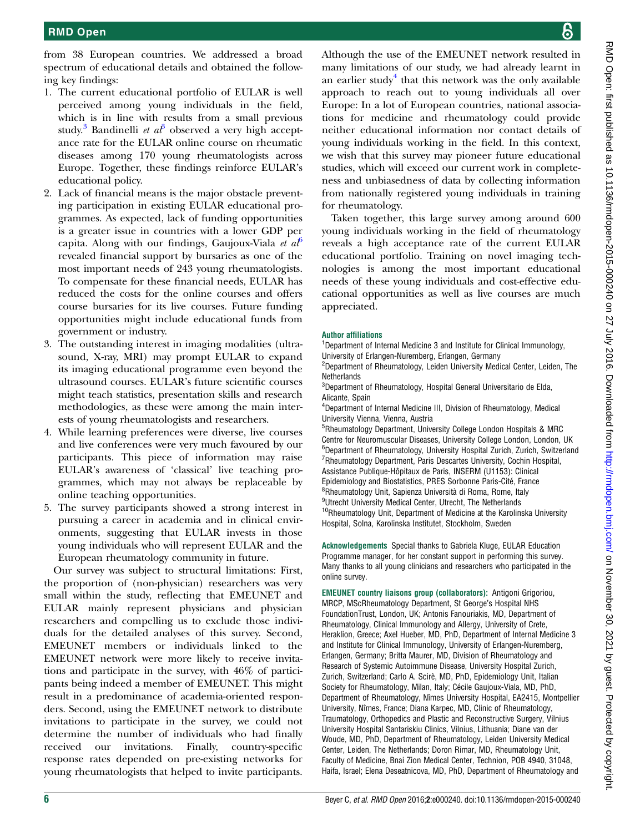from 38 European countries. We addressed a broad spectrum of educational details and obtained the following key findings:

- 1. The current educational portfolio of EULAR is well perceived among young individuals in the field, which is in line with results from a small previous study.<sup>[3](#page-6-0)</sup> Bandinelli *et al*<sup>3</sup> observed a very high acceptance rate for the EULAR online course on rheumatic diseases among 170 young rheumatologists across Europe. Together, these findings reinforce EULAR's educational policy.
- 2. Lack of financial means is the major obstacle preventing participation in existing EULAR educational programmes. As expected, lack of funding opportunities is a greater issue in countries with a lower GDP per capita. Along with our findings, Gaujoux-Viala *et al*<sup>[6](#page-6-0)</sup> revealed financial support by bursaries as one of the most important needs of 243 young rheumatologists. To compensate for these financial needs, EULAR has reduced the costs for the online courses and offers course bursaries for its live courses. Future funding opportunities might include educational funds from government or industry.
- 3. The outstanding interest in imaging modalities (ultrasound, X-ray, MRI) may prompt EULAR to expand its imaging educational programme even beyond the ultrasound courses. EULAR's future scientific courses might teach statistics, presentation skills and research methodologies, as these were among the main interests of young rheumatologists and researchers.
- 4. While learning preferences were diverse, live courses and live conferences were very much favoured by our participants. This piece of information may raise EULAR's awareness of 'classical' live teaching programmes, which may not always be replaceable by online teaching opportunities.
- 5. The survey participants showed a strong interest in pursuing a career in academia and in clinical environments, suggesting that EULAR invests in those young individuals who will represent EULAR and the European rheumatology community in future.

Our survey was subject to structural limitations: First, the proportion of (non-physician) researchers was very small within the study, reflecting that EMEUNET and EULAR mainly represent physicians and physician researchers and compelling us to exclude those individuals for the detailed analyses of this survey. Second, EMEUNET members or individuals linked to the EMEUNET network were more likely to receive invitations and participate in the survey, with 46% of participants being indeed a member of EMEUNET. This might result in a predominance of academia-oriented responders. Second, using the EMEUNET network to distribute invitations to participate in the survey, we could not determine the number of individuals who had finally received our invitations. Finally, country-specific response rates depended on pre-existing networks for young rheumatologists that helped to invite participants.

Although the use of the EMEUNET network resulted in many limitations of our study, we had already learnt in an earlier study<sup>[4](#page-6-0)</sup> that this network was the only available approach to reach out to young individuals all over Europe: In a lot of European countries, national associations for medicine and rheumatology could provide neither educational information nor contact details of young individuals working in the field. In this context, we wish that this survey may pioneer future educational studies, which will exceed our current work in completeness and unbiasedness of data by collecting information from nationally registered young individuals in training for rheumatology.

Taken together, this large survey among around 600 young individuals working in the field of rheumatology reveals a high acceptance rate of the current EULAR educational portfolio. Training on novel imaging technologies is among the most important educational needs of these young individuals and cost-effective educational opportunities as well as live courses are much appreciated.

#### Author affiliations

<sup>1</sup>Department of Internal Medicine 3 and Institute for Clinical Immunology, University of Erlangen-Nuremberg, Erlangen, Germany

<sup>2</sup>Department of Rheumatology, Leiden University Medical Center, Leiden, The Netherlands

3 Department of Rheumatology, Hospital General Universitario de Elda, Alicante, Spain

4 Department of Internal Medicine III, Division of Rheumatology, Medical University Vienna, Vienna, Austria

5 Rheumatology Department, University College London Hospitals & MRC Centre for Neuromuscular Diseases, University College London, London, UK 6 Department of Rheumatology, University Hospital Zurich, Zurich, Switzerland <sup>7</sup>Rheumatology Department, Paris Descartes University, Cochin Hospital, Assistance Publique-Hôpitaux de Paris, INSERM (U1153): Clinical Epidemiology and Biostatistics, PRES Sorbonne Paris-Cité, France <sup>8</sup>Rheumatology Unit, Sapienza Università di Roma, Rome, Italy <sup>9</sup>Utrecht University Medical Center, Utrecht, The Netherlands <sup>10</sup>Rheumatology Unit, Department of Medicine at the Karolinska University Hospital, Solna, Karolinska Institutet, Stockholm, Sweden

Acknowledgements Special thanks to Gabriela Kluge, EULAR Education Programme manager, for her constant support in performing this survey. Many thanks to all young clinicians and researchers who participated in the online survey.

EMEUNET country liaisons group (collaborators): Antigoni Grigoriou, MRCP, MScRheumatology Department, St George's Hospital NHS FoundationTrust, London, UK; Antonis Fanouriakis, MD, Department of Rheumatology, Clinical Immunology and Allergy, University of Crete, Heraklion, Greece; Axel Hueber, MD, PhD, Department of Internal Medicine 3 and Institute for Clinical Immunology, University of Erlangen-Nuremberg, Erlangen, Germany; Britta Maurer, MD, Division of Rheumatology and Research of Systemic Autoimmune Disease, University Hospital Zurich, Zurich, Switzerland; Carlo A. Scirè, MD, PhD, Epidemiology Unit, Italian Society for Rheumatology, Milan, Italy; Cécile Gaujoux-Viala, MD, PhD, Department of Rheumatology, Nîmes University Hospital, EA2415, Montpellier University, Nîmes, France; Diana Karpec, MD, Clinic of Rheumatology, Traumatology, Orthopedics and Plastic and Reconstructive Surgery, Vilnius University Hospital Santariskiu Clinics, Vilnius, Lithuania; Diane van der Woude, MD, PhD, Department of Rheumatology, Leiden University Medical Center, Leiden, The Netherlands; Doron Rimar, MD, Rheumatology Unit, Faculty of Medicine, Bnai Zion Medical Center, Technion, POB 4940, 31048, Haifa, Israel; Elena Deseatnicova, MD, PhD, Department of Rheumatology and